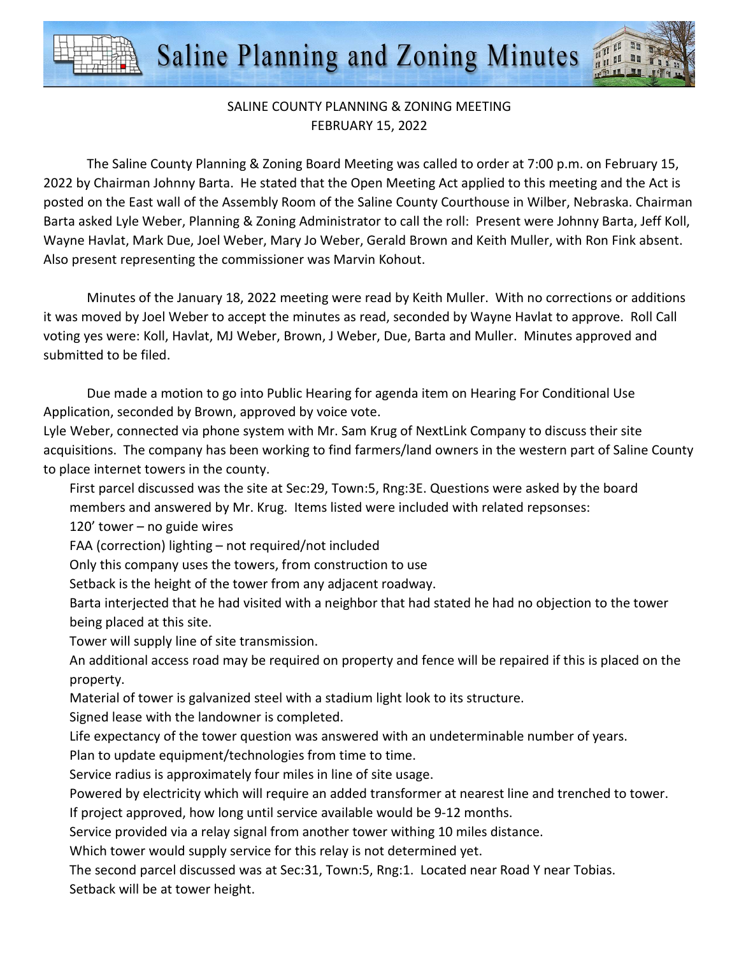Saline Planning and Zoning Minutes

## SALINE COUNTY PLANNING & ZONING MEETING FEBRUARY 15, 2022

The Saline County Planning & Zoning Board Meeting was called to order at 7:00 p.m. on February 15, 2022 by Chairman Johnny Barta. He stated that the Open Meeting Act applied to this meeting and the Act is posted on the East wall of the Assembly Room of the Saline County Courthouse in Wilber, Nebraska. Chairman Barta asked Lyle Weber, Planning & Zoning Administrator to call the roll: Present were Johnny Barta, Jeff Koll, Wayne Havlat, Mark Due, Joel Weber, Mary Jo Weber, Gerald Brown and Keith Muller, with Ron Fink absent. Also present representing the commissioner was Marvin Kohout.

Minutes of the January 18, 2022 meeting were read by Keith Muller. With no corrections or additions it was moved by Joel Weber to accept the minutes as read, seconded by Wayne Havlat to approve. Roll Call voting yes were: Koll, Havlat, MJ Weber, Brown, J Weber, Due, Barta and Muller. Minutes approved and submitted to be filed.

Due made a motion to go into Public Hearing for agenda item on Hearing For Conditional Use Application, seconded by Brown, approved by voice vote.

Lyle Weber, connected via phone system with Mr. Sam Krug of NextLink Company to discuss their site acquisitions. The company has been working to find farmers/land owners in the western part of Saline County to place internet towers in the county.

First parcel discussed was the site at Sec:29, Town:5, Rng:3E. Questions were asked by the board members and answered by Mr. Krug. Items listed were included with related repsonses:

120' tower – no guide wires

FAA (correction) lighting – not required/not included

Only this company uses the towers, from construction to use

Setback is the height of the tower from any adjacent roadway.

Barta interjected that he had visited with a neighbor that had stated he had no objection to the tower being placed at this site.

Tower will supply line of site transmission.

An additional access road may be required on property and fence will be repaired if this is placed on the property.

Material of tower is galvanized steel with a stadium light look to its structure.

Signed lease with the landowner is completed.

Life expectancy of the tower question was answered with an undeterminable number of years.

Plan to update equipment/technologies from time to time.

Service radius is approximately four miles in line of site usage.

Powered by electricity which will require an added transformer at nearest line and trenched to tower. If project approved, how long until service available would be 9-12 months.

Service provided via a relay signal from another tower withing 10 miles distance.

Which tower would supply service for this relay is not determined yet.

The second parcel discussed was at Sec:31, Town:5, Rng:1. Located near Road Y near Tobias. Setback will be at tower height.